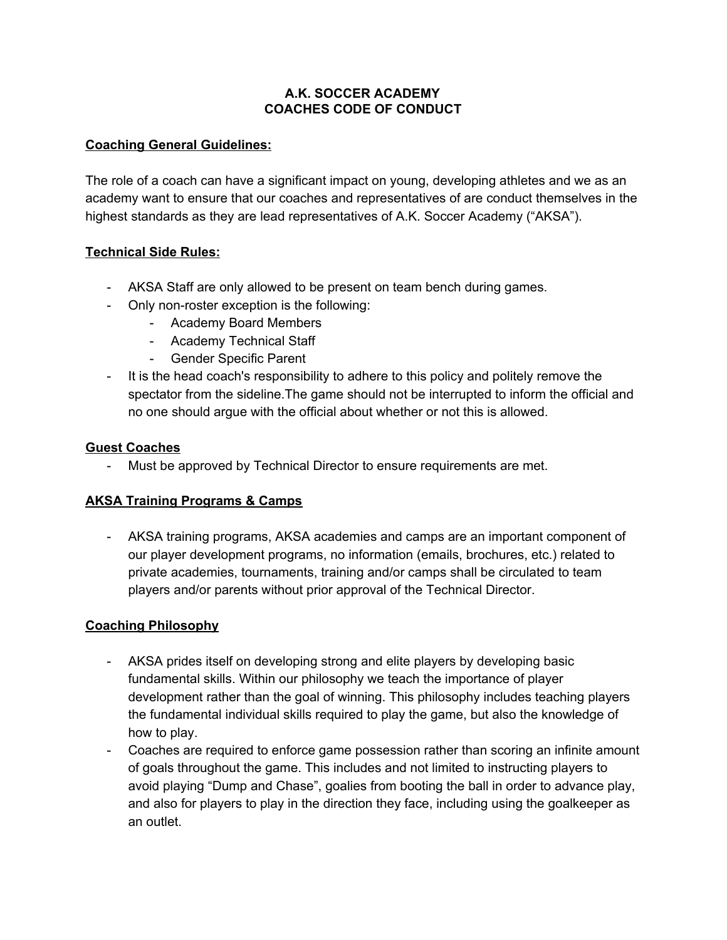### **A.K. SOCCER ACADEMY COACHES CODE OF CONDUCT**

## **Coaching General Guidelines:**

The role of a coach can have a significant impact on young, developing athletes and we as an academy want to ensure that our coaches and representatives of are conduct themselves in the highest standards as they are lead representatives of A.K. Soccer Academy ("AKSA").

## **Technical Side Rules:**

- AKSA Staff are only allowed to be present on team bench during games.
- Only non-roster exception is the following:
	- Academy Board Members
	- Academy Technical Staff
	- Gender Specific Parent
- It is the head coach's responsibility to adhere to this policy and politely remove the spectator from the sideline.The game should not be interrupted to inform the official and no one should argue with the official about whether or not this is allowed.

#### **Guest Coaches**

- Must be approved by Technical Director to ensure requirements are met.

## **AKSA Training Programs & Camps**

- AKSA training programs, AKSA academies and camps are an important component of our player development programs, no information (emails, brochures, etc.) related to private academies, tournaments, training and/or camps shall be circulated to team players and/or parents without prior approval of the Technical Director.

## **Coaching Philosophy**

- AKSA prides itself on developing strong and elite players by developing basic fundamental skills. Within our philosophy we teach the importance of player development rather than the goal of winning. This philosophy includes teaching players the fundamental individual skills required to play the game, but also the knowledge of how to play.
- Coaches are required to enforce game possession rather than scoring an infinite amount of goals throughout the game. This includes and not limited to instructing players to avoid playing "Dump and Chase", goalies from booting the ball in order to advance play, and also for players to play in the direction they face, including using the goalkeeper as an outlet.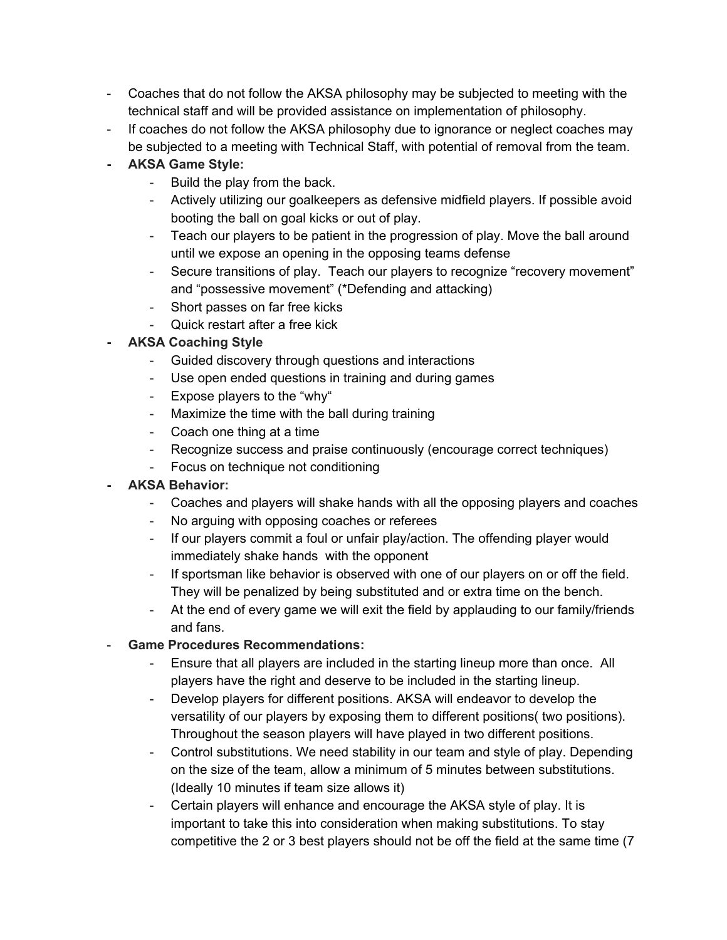- Coaches that do not follow the AKSA philosophy may be subjected to meeting with the technical staff and will be provided assistance on implementation of philosophy.
- If coaches do not follow the AKSA philosophy due to ignorance or neglect coaches may be subjected to a meeting with Technical Staff, with potential of removal from the team.
- **- AKSA Game Style:**
	- Build the play from the back.
	- Actively utilizing our goalkeepers as defensive midfield players. If possible avoid booting the ball on goal kicks or out of play.
	- Teach our players to be patient in the progression of play. Move the ball around until we expose an opening in the opposing teams defense
	- Secure transitions of play. Teach our players to recognize "recovery movement" and "possessive movement" (\*Defending and attacking)
	- Short passes on far free kicks
	- Quick restart after a free kick
- **- AKSA Coaching Style**
	- Guided discovery through questions and interactions
	- Use open ended questions in training and during games
	- Expose players to the "why"
	- Maximize the time with the ball during training
	- Coach one thing at a time
	- Recognize success and praise continuously (encourage correct techniques)
	- Focus on technique not conditioning
- **- AKSA Behavior:**
	- Coaches and players will shake hands with all the opposing players and coaches
	- No arguing with opposing coaches or referees
	- If our players commit a foul or unfair play/action. The offending player would immediately shake hands with the opponent
	- If sportsman like behavior is observed with one of our players on or off the field. They will be penalized by being substituted and or extra time on the bench.
	- At the end of every game we will exit the field by applauding to our family/friends and fans.
- **Game Procedures Recommendations:**
	- Ensure that all players are included in the starting lineup more than once. All players have the right and deserve to be included in the starting lineup.
	- Develop players for different positions. AKSA will endeavor to develop the versatility of our players by exposing them to different positions( two positions). Throughout the season players will have played in two different positions.
	- Control substitutions. We need stability in our team and style of play. Depending on the size of the team, allow a minimum of 5 minutes between substitutions. (Ideally 10 minutes if team size allows it)
	- Certain players will enhance and encourage the AKSA style of play. It is important to take this into consideration when making substitutions. To stay competitive the 2 or 3 best players should not be off the field at the same time (7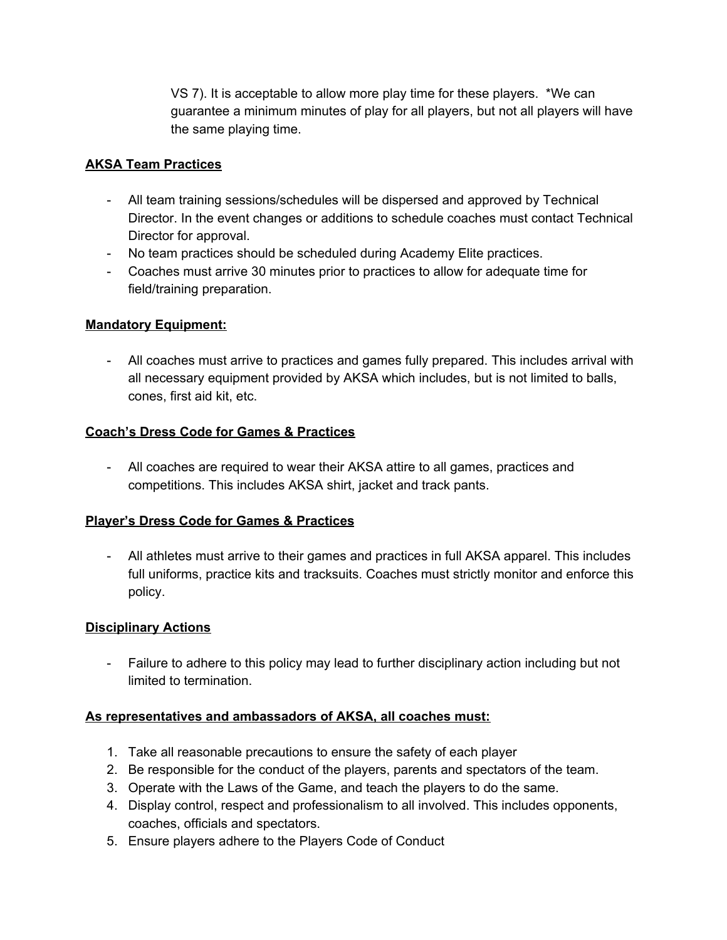VS 7). It is acceptable to allow more play time for these players. \*We can guarantee a minimum minutes of play for all players, but not all players will have the same playing time.

### **AKSA Team Practices**

- All team training sessions/schedules will be dispersed and approved by Technical Director. In the event changes or additions to schedule coaches must contact Technical Director for approval.
- No team practices should be scheduled during Academy Elite practices.
- Coaches must arrive 30 minutes prior to practices to allow for adequate time for field/training preparation.

## **Mandatory Equipment:**

- All coaches must arrive to practices and games fully prepared. This includes arrival with all necessary equipment provided by AKSA which includes, but is not limited to balls, cones, first aid kit, etc.

#### **Coach's Dress Code for Games & Practices**

- All coaches are required to wear their AKSA attire to all games, practices and competitions. This includes AKSA shirt, jacket and track pants.

#### **Player's Dress Code for Games & Practices**

- All athletes must arrive to their games and practices in full AKSA apparel. This includes full uniforms, practice kits and tracksuits. Coaches must strictly monitor and enforce this policy.

#### **Disciplinary Actions**

- Failure to adhere to this policy may lead to further disciplinary action including but not limited to termination.

#### **As representatives and ambassadors of AKSA, all coaches must:**

- 1. Take all reasonable precautions to ensure the safety of each player
- 2. Be responsible for the conduct of the players, parents and spectators of the team.
- 3. Operate with the Laws of the Game, and teach the players to do the same.
- 4. Display control, respect and professionalism to all involved. This includes opponents, coaches, officials and spectators.
- 5. Ensure players adhere to the Players Code of Conduct